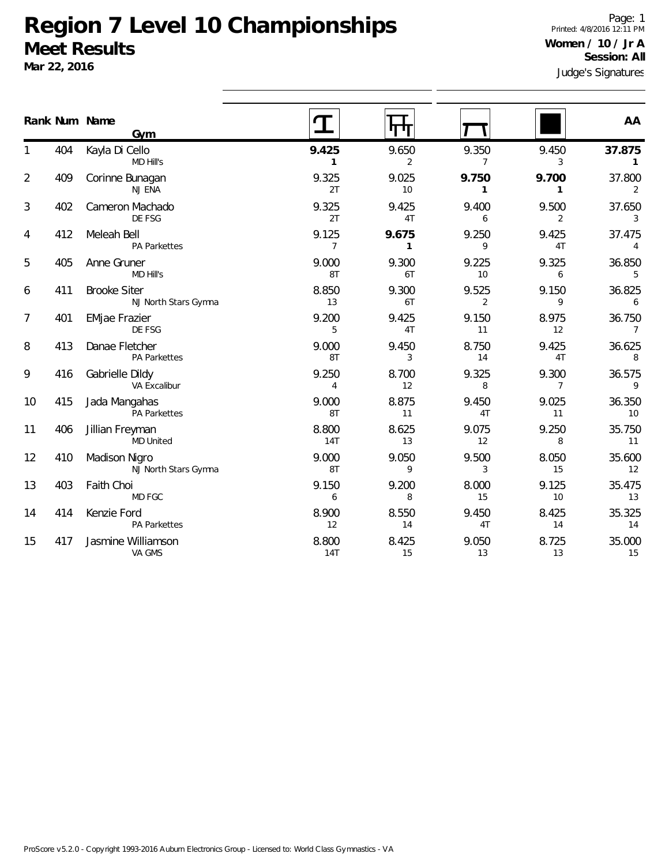**Mar 22, 2016**

Judge's Signatures Page: 1 Printed: 4/8/2016 12:11 PM **Women / 10 / Jr A Session: All**

|                          |     | Rank Num Name<br>Gym                        |                         | ┑                       |                         |                         | AA                       |
|--------------------------|-----|---------------------------------------------|-------------------------|-------------------------|-------------------------|-------------------------|--------------------------|
| 1                        | 404 | Kayla Di Cello<br>MD Hill's                 | 9.425<br>1              | 9.650<br>$\overline{2}$ | 9.350<br>$\overline{7}$ | 9.450<br>3              | 37.875<br>$\mathbf{1}$   |
| $\overline{2}$           | 409 | Corinne Bunagan<br>NJ ENA                   | 9.325<br>2T             | 9.025<br>10             | 9.750<br>1              | 9.700<br>$\mathbf{1}$   | 37.800<br>2              |
| 3                        | 402 | Cameron Machado<br>DE FSG                   | 9.325<br>2T             | 9.425<br>4T             | 9.400<br>6              | 9.500<br>$\overline{2}$ | 37.650<br>3              |
| 4                        | 412 | Meleah Bell<br><b>PA Parkettes</b>          | 9.125<br>$\overline{7}$ | 9.675<br>$\mathbf{1}$   | 9.250<br>9              | 9.425<br>4T             | 37.475<br>$\overline{4}$ |
| 5                        | 405 | Anne Gruner<br>MD Hill's                    | 9.000<br>8T             | 9.300<br>6T             | 9.225<br>10             | 9.325<br>6              | 36.850<br>5              |
| 6                        | 411 | <b>Brooke Siter</b><br>NJ North Stars Gymna | 8.850<br>13             | 9.300<br>6T             | 9.525<br>$\overline{2}$ | 9.150<br>9              | 36.825<br>6              |
| $\overline{\mathcal{I}}$ | 401 | <b>EMjae Frazier</b><br>DE FSG              | 9.200<br>5              | 9.425<br>4T             | 9.150<br>11             | 8.975<br>12             | 36.750<br>$\overline{7}$ |
| 8                        | 413 | Danae Fletcher<br>PA Parkettes              | 9.000<br>8T             | 9.450<br>3              | 8.750<br>14             | 9.425<br>4T             | 36.625<br>8              |
| 9                        | 416 | Gabrielle Dildy<br>VA Excalibur             | 9.250<br>$\overline{4}$ | 8.700<br>12             | 9.325<br>8              | 9.300<br>$7^{\circ}$    | 36.575<br>9              |
| 10                       | 415 | Jada Mangahas<br>PA Parkettes               | 9.000<br>8T             | 8.875<br>11             | 9.450<br>4T             | 9.025<br>11             | 36.350<br>10             |
| 11                       | 406 | Jillian Freyman<br><b>MD United</b>         | 8.800<br>14T            | 8.625<br>13             | 9.075<br>12             | 9.250<br>8              | 35.750<br>11             |
| 12                       | 410 | Madison Nigro<br>NJ North Stars Gymna       | 9.000<br>8T             | 9.050<br>9              | 9.500<br>3              | 8.050<br>15             | 35.600<br>12             |
| 13                       | 403 | Faith Choi<br>MD FGC                        | 9.150<br>6              | 9.200<br>8              | 8.000<br>15             | 9.125<br>10             | 35.475<br>13             |
| 14                       | 414 | Kenzie Ford<br>PA Parkettes                 | 8.900<br>12             | 8.550<br>14             | 9.450<br>4T             | 8.425<br>14             | 35.325<br>14             |
| 15                       | 417 | Jasmine Williamson<br>VA GMS                | 8.800<br>14T            | 8.425<br>15             | 9.050<br>13             | 8.725<br>13             | 35.000<br>15             |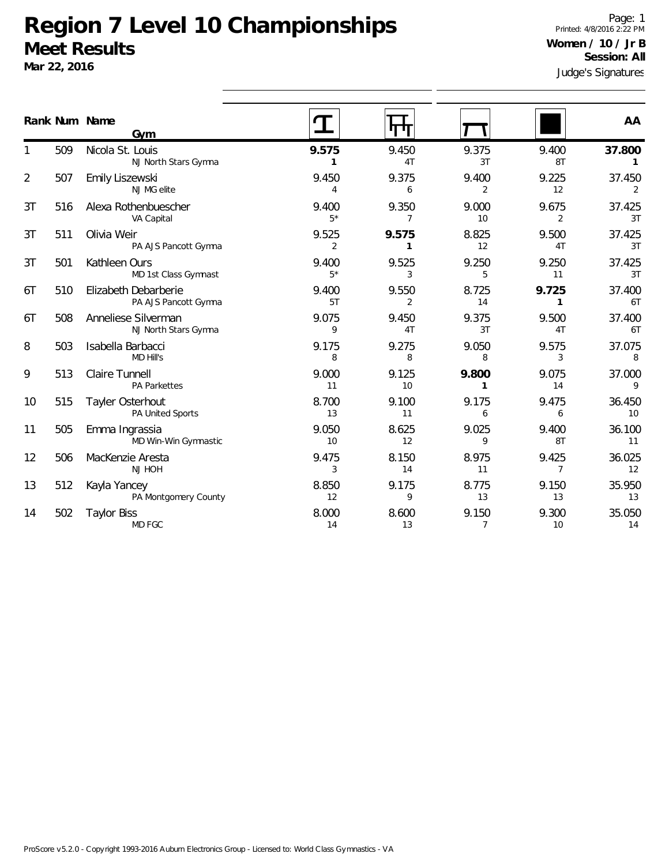**Mar 22, 2016**

Judge's Signatures Page: 1 Printed: 4/8/2016 2:22 PM **Women / 10 / Jr B Session: All**

|    |     | Rank Num Name<br>Gym                         |                         |                         |                         |                         | AA                     |
|----|-----|----------------------------------------------|-------------------------|-------------------------|-------------------------|-------------------------|------------------------|
| 1  | 509 | Nicola St. Louis<br>NJ North Stars Gymna     | 9.575<br>$\mathbf{1}$   | 9.450<br>4T             | 9.375<br>3T             | 9.400<br>8T             | 37.800<br>$\mathbf{1}$ |
| 2  | 507 | Emily Liszewski<br>NJ MG elite               | 9.450<br>$\overline{4}$ | 9.375<br>6              | 9.400<br>$\overline{2}$ | 9.225<br>12             | 37.450<br>2            |
| 3T | 516 | Alexa Rothenbuescher<br>VA Capital           | 9.400<br>$5*$           | 9.350<br>$\overline{7}$ | 9.000<br>10             | 9.675<br>$\overline{2}$ | 37.425<br>3T           |
| 3T | 511 | Olivia Weir<br>PA AJS Pancott Gymna          | 9.525<br>2              | 9.575<br>1              | 8.825<br>12             | 9.500<br>4T             | 37.425<br>3T           |
| 3T | 501 | Kathleen Ours<br>MD 1st Class Gymnast        | 9.400<br>$5*$           | 9.525<br>3              | 9.250<br>5              | 9.250<br>11             | 37.425<br>3T           |
| 6T | 510 | Elizabeth Debarberie<br>PA AJS Pancott Gymna | 9.400<br>5T             | 9.550<br>2              | 8.725<br>14             | 9.725<br>1              | 37.400<br>6T           |
| 6T | 508 | Anneliese Silverman<br>NJ North Stars Gymna  | 9.075<br>9              | 9.450<br>4T             | 9.375<br>3T             | 9.500<br>4T             | 37.400<br>6T           |
| 8  | 503 | Isabella Barbacci<br><b>MD Hill's</b>        | 9.175<br>8              | 9.275<br>8              | 9.050<br>8              | 9.575<br>3              | 37.075<br>8            |
| 9  | 513 | Claire Tunnell<br>PA Parkettes               | 9.000<br>11             | 9.125<br>10             | 9.800<br>$\mathbf{1}$   | 9.075<br>14             | 37.000<br>9            |
| 10 | 515 | Tayler Osterhout<br>PA United Sports         | 8.700<br>13             | 9.100<br>11             | 9.175<br>6              | 9.475<br>6              | 36.450<br>10           |
| 11 | 505 | Emma Ingrassia<br>MD Win-Win Gymnastic       | 9.050<br>10             | 8.625<br>12             | 9.025<br>9              | 9.400<br>8T             | 36.100<br>11           |
| 12 | 506 | MacKenzie Aresta<br>NJ HOH                   | 9.475<br>3              | 8.150<br>14             | 8.975<br>11             | 9.425<br>$\overline{7}$ | 36.025<br>12           |
| 13 | 512 | Kayla Yancey<br>PA Montgomery County         | 8.850<br>12             | 9.175<br>9              | 8.775<br>13             | 9.150<br>13             | 35.950<br>13           |
| 14 | 502 | <b>Taylor Biss</b><br>MD FGC                 | 8.000<br>14             | 8.600<br>13             | 9.150<br>$\overline{7}$ | 9.300<br>10             | 35.050<br>14           |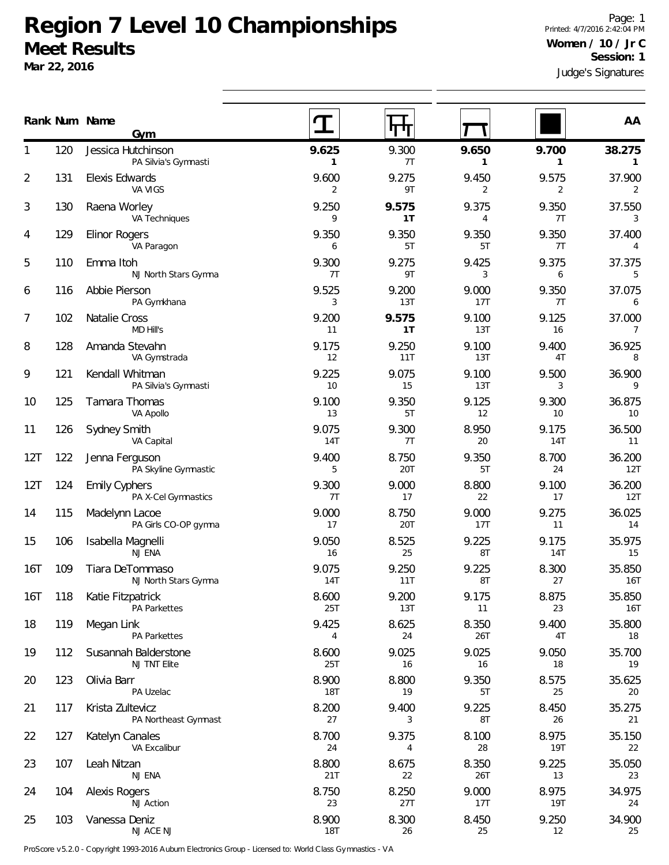**Mar 22, 2016**

Judge's Signatures Page: 1 Printed: 4/7/2016 2:42:04 PM **Women / 10 / Jr C Session: 1**

|                |     | Rank Num Name<br>Gym                       |                       |                         |                       |                       | AA                       |
|----------------|-----|--------------------------------------------|-----------------------|-------------------------|-----------------------|-----------------------|--------------------------|
| 1              | 120 | Jessica Hutchinson<br>PA Silvia's Gymnasti | 9.625<br>$\mathbf{1}$ | 9.300<br>7 <sub>T</sub> | 9.650<br>$\mathbf{1}$ | 9.700<br>$\mathbf{1}$ | 38.275<br>$\mathbf{1}$   |
| $\overline{2}$ | 131 | Elexis Edwards<br>VA VIGS                  | 9.600<br>2            | 9.275<br>9T             | 9.450<br>2            | 9.575<br>2            | 37.900<br>2              |
| 3              | 130 | Raena Worley<br>VA Techniques              | 9.250<br>9            | 9.575<br>1T             | 9.375<br>4            | 9.350<br>7T           | 37.550<br>3              |
| 4              | 129 | Elinor Rogers<br>VA Paragon                | 9.350<br>6            | 9.350<br>5T             | 9.350<br>5T           | 9.350<br>7T           | 37.400<br>4              |
| 5              | 110 | Emma Itoh<br>NJ North Stars Gymna          | 9.300<br>7T           | 9.275<br>9T             | 9.425<br>3            | 9.375<br>6            | 37.375<br>5              |
| 6              | 116 | Abbie Pierson<br>PA Gymkhana               | 9.525<br>3            | 9.200<br>13T            | 9.000<br>17T          | 9.350<br>7T           | 37.075<br>6              |
| 7              | 102 | Natalie Cross<br>MD Hill's                 | 9.200<br>11           | 9.575<br>1T             | 9.100<br>13T          | 9.125<br>16           | 37.000<br>$\overline{7}$ |
| 8              | 128 | Amanda Stevahn<br>VA Gymstrada             | 9.175<br>12           | 9.250<br>11T            | 9.100<br>13T          | 9.400<br>4T           | 36.925<br>8              |
| 9              | 121 | Kendall Whitman<br>PA Silvia's Gymnasti    | 9.225<br>10           | 9.075<br>15             | 9.100<br>13T          | 9.500<br>3            | 36.900<br>9              |
| 10             | 125 | Tamara Thomas<br>VA Apollo                 | 9.100<br>13           | 9.350<br>5T             | 9.125<br>12           | 9.300<br>10           | 36.875<br>10             |
| 11             | 126 | Sydney Smith<br>VA Capital                 | 9.075<br>14T          | 9.300<br>7T             | 8.950<br>20           | 9.175<br><b>14T</b>   | 36.500<br>11             |
| 12T            | 122 | Jenna Ferguson<br>PA Skyline Gymnastic     | 9.400<br>5            | 8.750<br>20T            | 9.350<br>5T           | 8.700<br>24           | 36.200<br>12T            |
| 12T            | 124 | Emily Cyphers<br>PA X-Cel Gymnastics       | 9.300<br>7T           | 9.000<br>17             | 8.800<br>22           | 9.100<br>17           | 36.200<br>12T            |
| 14             | 115 | Madelynn Lacoe<br>PA Girls CO-OP gymna     | 9.000<br>17           | 8.750<br>20T            | 9.000<br>17T          | 9.275<br>11           | 36.025<br>14             |
| 15             | 106 | Isabella Magnelli<br>NJ ENA                | 9.050<br>16           | 8.525<br>25             | 9.225<br>8T           | 9.175<br><b>14T</b>   | 35.975<br>15             |
| 16T            | 109 | Tiara DeTommaso<br>NJ North Stars Gymna    | 9.075<br>14T          | 9.250<br>11T            | 9.225<br>8T           | 8.300<br>27           | 35.850<br>16T            |
| 16T            | 118 | Katie Fitzpatrick<br>PA Parkettes          | 8.600<br>25T          | 9.200<br>13T            | 9.175<br>11           | 8.875<br>23           | 35.850<br>16T            |
| 18             | 119 | Megan Link<br>PA Parkettes                 | 9.425<br>4            | 8.625<br>24             | 8.350<br>26T          | 9.400<br>4T           | 35.800<br>18             |
| 19             | 112 | Susannah Balderstone<br>NJ TNT Elite       | 8.600<br>25T          | 9.025<br>16             | 9.025<br>16           | 9.050<br>18           | 35.700<br>19             |
| 20             | 123 | Olivia Barr<br>PA Uzelac                   | 8.900<br><b>18T</b>   | 8.800<br>19             | 9.350<br>5T           | 8.575<br>25           | 35.625<br>20             |
| 21             | 117 | Krista Zultevicz<br>PA Northeast Gymnast   | 8.200<br>27           | 9.400<br>3              | 9.225<br>8T           | 8.450<br>26           | 35.275<br>21             |
| 22             | 127 | Katelyn Canales<br>VA Excalibur            | 8.700<br>24           | 9.375<br>4              | 8.100<br>28           | 8.975<br><b>19T</b>   | 35.150<br>22             |
| 23             | 107 | Leah Nitzan<br>NJ ENA                      | 8.800<br>21T          | 8.675<br>22             | 8.350<br>26T          | 9.225<br>13           | 35.050<br>23             |
| 24             | 104 | <b>Alexis Rogers</b><br><b>NJ Action</b>   | 8.750<br>23           | 8.250<br>27T            | 9.000<br>17T          | 8.975<br>19T          | 34.975<br>24             |
| 25             | 103 | Vanessa Deniz<br>NJ ACE NJ                 | 8.900<br><b>18T</b>   | 8.300<br>26             | 8.450<br>25           | 9.250<br>12           | 34.900<br>25             |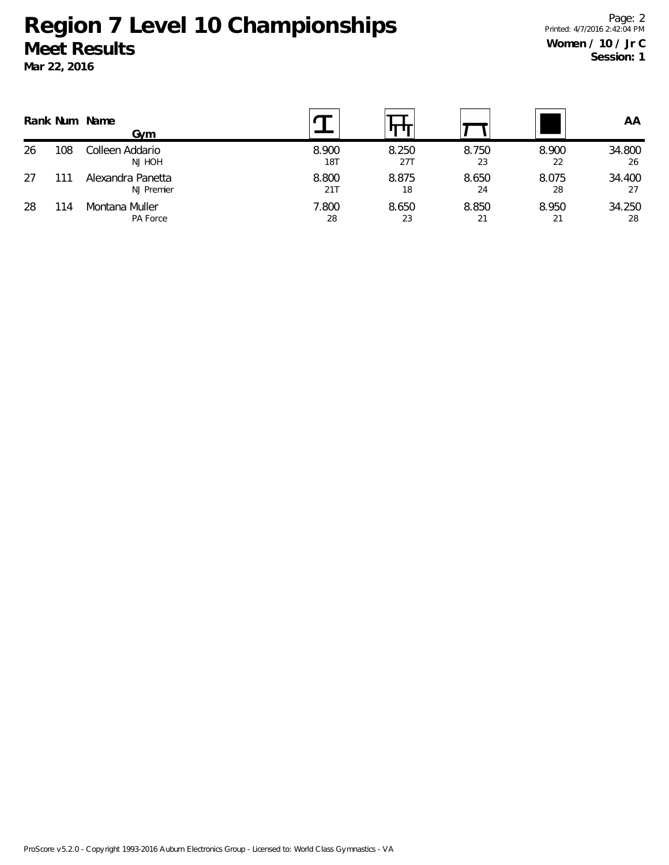|    |     | Rank Num Name<br>Gvm            |                     |              |             |             | AA           |
|----|-----|---------------------------------|---------------------|--------------|-------------|-------------|--------------|
| 26 | 108 | Colleen Addario<br>NJ HOH       | 8.900<br><b>18T</b> | 8.250<br>27T | 8.750<br>23 | 8.900<br>22 | 34.800<br>26 |
| 27 | 111 | Alexandra Panetta<br>NJ Premier | 8.800<br>21T        | 8.875<br>18  | 8.650<br>24 | 8.075<br>28 | 34.400<br>27 |
| 28 | 114 | Montana Muller<br>PA Force      | 7.800<br>28         | 8.650<br>23  | 8.850<br>21 | 8.950<br>21 | 34.250<br>28 |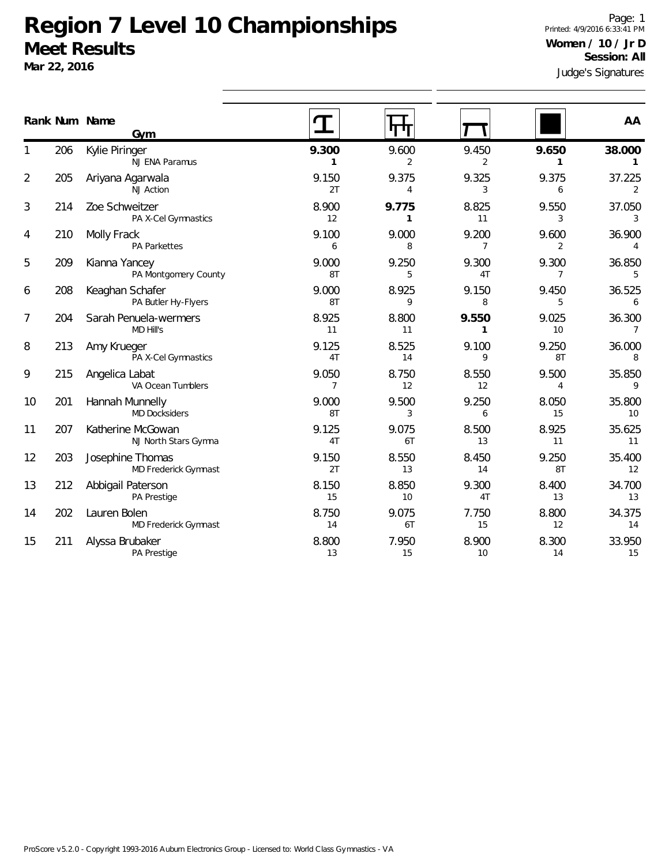**Mar 22, 2016**

Judge's Signatures Page: 1 Printed: 4/9/2016 6:33:41 PM **Women / 10 / Jr D Session: All**

|                |     | Rank Num Name<br>Gym                      |                         | प्राप्त                 |                         |                         | AA                       |
|----------------|-----|-------------------------------------------|-------------------------|-------------------------|-------------------------|-------------------------|--------------------------|
|                | 206 | Kylie Piringer<br>NJ ENA Paramus          | 9.300<br>$\mathbf{1}$   | 9.600<br>$\overline{2}$ | 9.450<br>$\overline{2}$ | 9.650<br>1              | 38.000<br>$\mathbf{1}$   |
| $\overline{2}$ | 205 | Ariyana Agarwala<br>NJ Action             | 9.150<br>2T             | 9.375<br>4              | 9.325<br>3              | 9.375<br>6              | 37.225<br>2              |
| 3              | 214 | Zoe Schweitzer<br>PA X-Cel Gymnastics     | 8.900<br>12             | 9.775<br>1              | 8.825<br>11             | 9.550<br>3              | 37.050<br>3              |
| 4              | 210 | Molly Frack<br><b>PA Parkettes</b>        | 9.100<br>6              | 9.000<br>8              | 9.200<br>7              | 9.600<br>2              | 36.900<br>$\overline{4}$ |
| 5              | 209 | Kianna Yancey<br>PA Montgomery County     | 9.000<br>8T             | 9.250<br>5              | 9.300<br>4T             | 9.300<br>$\overline{7}$ | 36.850<br>5              |
| 6              | 208 | Keaghan Schafer<br>PA Butler Hy-Flyers    | 9.000<br>8T             | 8.925<br>9              | 9.150<br>8              | 9.450<br>5              | 36.525<br>6              |
| 7              | 204 | Sarah Penuela-wermers<br>MD Hill's        | 8.925<br>11             | 8.800<br>11             | 9.550<br>1              | 9.025<br>10             | 36.300<br>$\overline{7}$ |
| 8              | 213 | Amy Krueger<br>PA X-Cel Gymnastics        | 9.125<br>4T             | 8.525<br>14             | 9.100<br>9              | 9.250<br>8T             | 36.000<br>8              |
| 9              | 215 | Angelica Labat<br>VA Ocean Tumblers       | 9.050<br>$\overline{7}$ | 8.750<br>12             | 8.550<br>12             | 9.500<br>$\overline{4}$ | 35.850<br>9              |
| 10             | 201 | Hannah Munnelly<br><b>MD Docksiders</b>   | 9.000<br>8T             | 9.500<br>3              | 9.250<br>6              | 8.050<br>15             | 35.800<br>10             |
| 11             | 207 | Katherine McGowan<br>NJ North Stars Gymna | 9.125<br>4 <sub>T</sub> | 9.075<br>6T             | 8.500<br>13             | 8.925<br>11             | 35.625<br>11             |
| 12             | 203 | Josephine Thomas<br>MD Frederick Gymnast  | 9.150<br>2T             | 8.550<br>13             | 8.450<br>14             | 9.250<br>8T             | 35.400<br>12             |
| 13             | 212 | Abbigail Paterson<br>PA Prestige          | 8.150<br>15             | 8.850<br>10             | 9.300<br>4T             | 8.400<br>13             | 34.700<br>13             |
| 14             | 202 | Lauren Bolen<br>MD Frederick Gymnast      | 8.750<br>14             | 9.075<br>6T             | 7.750<br>15             | 8.800<br>12             | 34.375<br>14             |
| 15             | 211 | Alyssa Brubaker<br>PA Prestige            | 8.800<br>13             | 7.950<br>15             | 8.900<br>10             | 8.300<br>14             | 33.950<br>15             |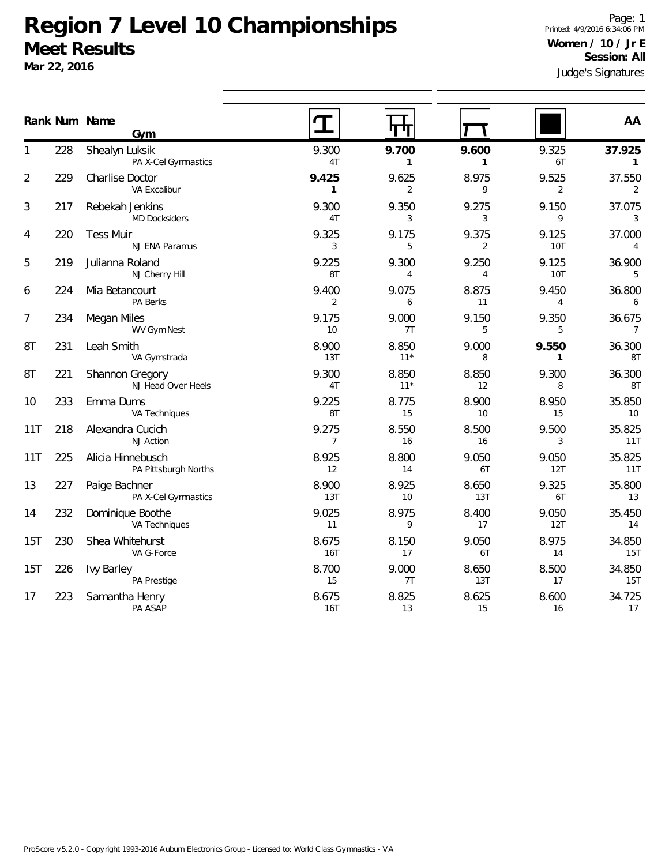Judge's Signatures Page: 1 Printed: 4/9/2016 6:34:06 PM **Women / 10 / Jr E Session: All**

|     |     | Rank Num Name                             |                         |                       |                       |                       | AA                       |
|-----|-----|-------------------------------------------|-------------------------|-----------------------|-----------------------|-----------------------|--------------------------|
|     |     | Gym                                       |                         |                       |                       |                       |                          |
| 1   | 228 | Shealyn Luksik<br>PA X-Cel Gymnastics     | 9.300<br>4T             | 9.700<br>$\mathbf{1}$ | 9.600<br>$\mathbf{1}$ | 9.325<br>6T           | 37.925<br>$\mathbf{1}$   |
| 2   | 229 | <b>Charlise Doctor</b><br>VA Excalibur    | 9.425<br>$\mathbf{1}$   | 9.625<br>2            | 8.975<br>9            | 9.525<br>2            | 37.550<br>2              |
| 3   | 217 | Rebekah Jenkins<br><b>MD Docksiders</b>   | 9.300<br>4T             | 9.350<br>3            | 9.275<br>3            | 9.150<br>9            | 37.075<br>3              |
| 4   | 220 | <b>Tess Muir</b><br>NJ ENA Paramus        | 9.325<br>3              | 9.175<br>5            | 9.375<br>2            | 9.125<br><b>10T</b>   | 37.000<br>4              |
| 5   | 219 | Julianna Roland<br>NJ Cherry Hill         | 9.225<br>8T             | 9.300<br>4            | 9.250<br>4            | 9.125<br><b>10T</b>   | 36.900<br>5              |
| 6   | 224 | Mia Betancourt<br>PA Berks                | 9.400<br>$\overline{2}$ | 9.075<br>6            | 8.875<br>11           | 9.450<br>4            | 36.800<br>6              |
| 7   | 234 | Megan Miles<br>WV Gym Nest                | 9.175<br>10             | 9.000<br>7T           | 9.150<br>5            | 9.350<br>5            | 36.675<br>$\overline{7}$ |
| 8T  | 231 | Leah Smith<br>VA Gymstrada                | 8.900<br>13T            | 8.850<br>$11*$        | 9.000<br>8            | 9.550<br>$\mathbf{1}$ | 36.300<br>8T             |
| 8T  | 221 | Shannon Gregory<br>NJ Head Over Heels     | 9.300<br>4T             | 8.850<br>$11*$        | 8.850<br>12           | 9.300<br>8            | 36.300<br>8T             |
| 10  | 233 | Emma Dums<br>VA Techniques                | 9.225<br>8T             | 8.775<br>15           | 8.900<br>10           | 8.950<br>15           | 35.850<br>10             |
| 11T | 218 | Alexandra Cucich<br><b>NJ Action</b>      | 9.275<br>$\overline{7}$ | 8.550<br>16           | 8.500<br>16           | 9.500<br>3            | 35.825<br>11T            |
| 11T | 225 | Alicia Hinnebusch<br>PA Pittsburgh Norths | 8.925<br>12             | 8.800<br>14           | 9.050<br>6T           | 9.050<br>12T          | 35.825<br>11T            |
| 13  | 227 | Paige Bachner<br>PA X-Cel Gymnastics      | 8.900<br>13T            | 8.925<br>10           | 8.650<br>13T          | 9.325<br>6T           | 35.800<br>13             |
| 14  | 232 | Dominique Boothe<br>VA Techniques         | 9.025<br>11             | 8.975<br>9            | 8.400<br>17           | 9.050<br>12T          | 35.450<br>14             |
| 15T | 230 | Shea Whitehurst<br>VA G-Force             | 8.675<br>16T            | 8.150<br>17           | 9.050<br>6T           | 8.975<br>14           | 34.850<br>15T            |
| 15T | 226 | <b>Ivy Barley</b><br>PA Prestige          | 8.700<br>15             | 9.000<br>7T           | 8.650<br>13T          | 8.500<br>17           | 34.850<br>15T            |
| 17  | 223 | Samantha Henry<br>PA ASAP                 | 8.675<br>16T            | 8.825<br>13           | 8.625<br>15           | 8.600<br>16           | 34.725<br>17             |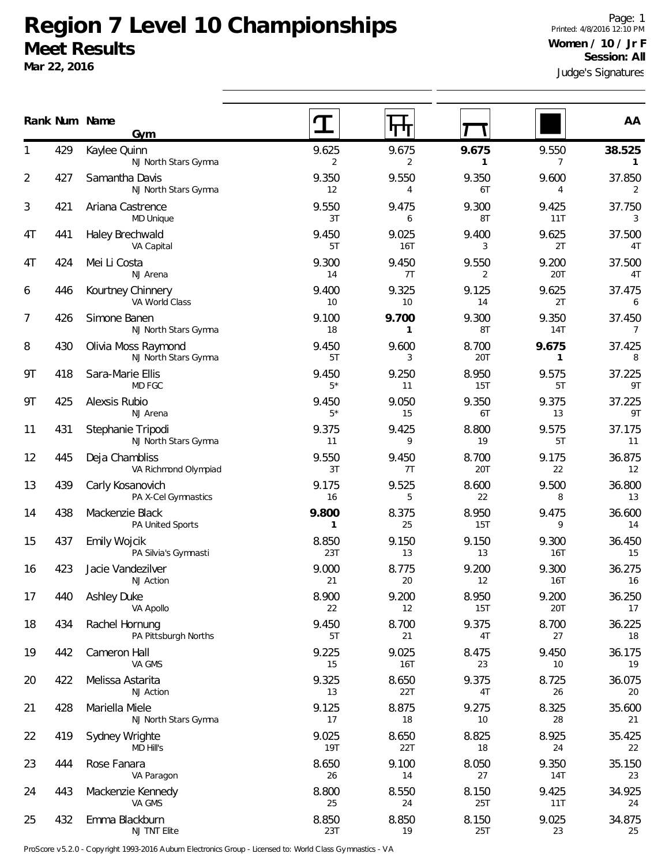**Mar 22, 2016**

Judge's Signatures Page: 1 Printed: 4/8/2016 12:10 PM **Women / 10 / Jr F Session: All**

|                |     | Rank Num Name<br>Gym                        |                     |                       |                       |                         | AA                       |
|----------------|-----|---------------------------------------------|---------------------|-----------------------|-----------------------|-------------------------|--------------------------|
|                | 429 | Kaylee Quinn<br>NJ North Stars Gymna        | 9.625<br>2          | 9.675<br>2            | 9.675<br>$\mathbf{1}$ | 9.550<br>$\overline{7}$ | 38.525<br>$\mathbf{1}$   |
| $\overline{2}$ | 427 | Samantha Davis<br>NJ North Stars Gymna      | 9.350<br>12         | 9.550<br>4            | 9.350<br>6T           | 9.600<br>$\overline{4}$ | 37.850<br>2              |
| 3              | 421 | Ariana Castrence<br>MD Unique               | 9.550<br>3T         | 9.475<br>6            | 9.300<br>8T           | 9.425<br>11T            | 37.750<br>3              |
| 4T             | 441 | Haley Brechwald<br>VA Capital               | 9.450<br>5T         | 9.025<br>16T          | 9.400<br>3            | 9.625<br>2T             | 37.500<br>4T             |
| 4T             | 424 | Mei Li Costa<br>NJ Arena                    | 9.300<br>14         | 9.450<br>7T           | 9.550<br>2            | 9.200<br>20T            | 37.500<br>4T             |
| 6              | 446 | Kourtney Chinnery<br>VA World Class         | 9.400<br>10         | 9.325<br>10           | 9.125<br>14           | 9.625<br>2T             | 37.475<br>6              |
| 7              | 426 | Simone Banen<br>NJ North Stars Gymna        | 9.100<br>18         | 9.700<br>$\mathbf{1}$ | 9.300<br>8T           | 9.350<br>14T            | 37.450<br>$\overline{7}$ |
| 8              | 430 | Olivia Moss Raymond<br>NJ North Stars Gymna | 9.450<br>5T         | 9.600<br>3            | 8.700<br>20T          | 9.675<br>$\mathbf{1}$   | 37.425<br>8              |
| 9T             | 418 | Sara-Marie Ellis<br>MD FGC                  | 9.450<br>$5*$       | 9.250<br>11           | 8.950<br>15T          | 9.575<br>5T             | 37.225<br>9T             |
| 9T             | 425 | Alexsis Rubio<br>NJ Arena                   | 9.450<br>$5*$       | 9.050<br>15           | 9.350<br>6T           | 9.375<br>13             | 37.225<br>9T             |
| 11             | 431 | Stephanie Tripodi<br>NJ North Stars Gymna   | 9.375<br>11         | 9.425<br>9            | 8.800<br>19           | 9.575<br>5T             | 37.175<br>11             |
| 12             | 445 | Deja Chambliss<br>VA Richmond Olympiad      | 9.550<br>3T         | 9.450<br>7T           | 8.700<br>20T          | 9.175<br>22             | 36.875<br>12             |
| 13             | 439 | Carly Kosanovich<br>PA X-Cel Gymnastics     | 9.175<br>16         | 9.525<br>5            | 8.600<br>22           | 9.500<br>8              | 36.800<br>13             |
| 14             | 438 | Mackenzie Black<br>PA United Sports         | 9.800<br>1          | 8.375<br>25           | 8.950<br>15T          | 9.475<br>9              | 36.600<br>14             |
| 15             | 437 | <b>Emily Wojcik</b><br>PA Silvia's Gymnasti | 8.850<br>23T        | 9.150<br>13           | 9.150<br>13           | 9.300<br>16T            | 36.450<br>15             |
| 16             | 423 | Jacie Vandezilver<br><b>NJ</b> Action       | 9.000<br>21         | 8.775<br>20           | 9.200<br>12           | 9.300<br>16T            | 36.275<br>16             |
| 17             | 440 | <b>Ashley Duke</b><br>VA Apollo             | 8.900<br>22         | 9.200<br>12           | 8.950<br>15T          | 9.200<br>20T            | 36.250<br>17             |
| 18             | 434 | Rachel Hornung<br>PA Pittsburgh Norths      | 9.450<br>5T         | 8.700<br>21           | 9.375<br>4T           | 8.700<br>27             | 36.225<br>18             |
| 19             | 442 | Cameron Hall<br>VA GMS                      | 9.225<br>15         | 9.025<br>16T          | 8.475<br>23           | 9.450<br>10             | 36.175<br>19             |
| 20             | 422 | Melissa Astarita<br>NJ Action               | 9.325<br>13         | 8.650<br>22T          | 9.375<br>4T           | 8.725<br>26             | 36.075<br>20             |
| 21             | 428 | Mariella Miele<br>NJ North Stars Gymna      | 9.125<br>17         | 8.875<br>18           | 9.275<br>10           | 8.325<br>28             | 35.600<br>21             |
| 22             | 419 | Sydney Wrighte<br><b>MD Hill's</b>          | 9.025<br><b>19T</b> | 8.650<br>22T          | 8.825<br>18           | 8.925<br>24             | 35.425<br>22             |
| 23             | 444 | Rose Fanara<br>VA Paragon                   | 8.650<br>26         | 9.100<br>14           | 8.050<br>27           | 9.350<br><b>14T</b>     | 35.150<br>23             |
| 24             | 443 | Mackenzie Kennedy<br>VA GMS                 | 8.800<br>25         | 8.550<br>24           | 8.150<br>25T          | 9.425<br>11T            | 34.925<br>24             |
| 25             | 432 | Emma Blackburn<br>NJ TNT Elite              | 8.850<br>23T        | 8.850<br>19           | 8.150<br>25T          | 9.025<br>23             | 34.875<br>25             |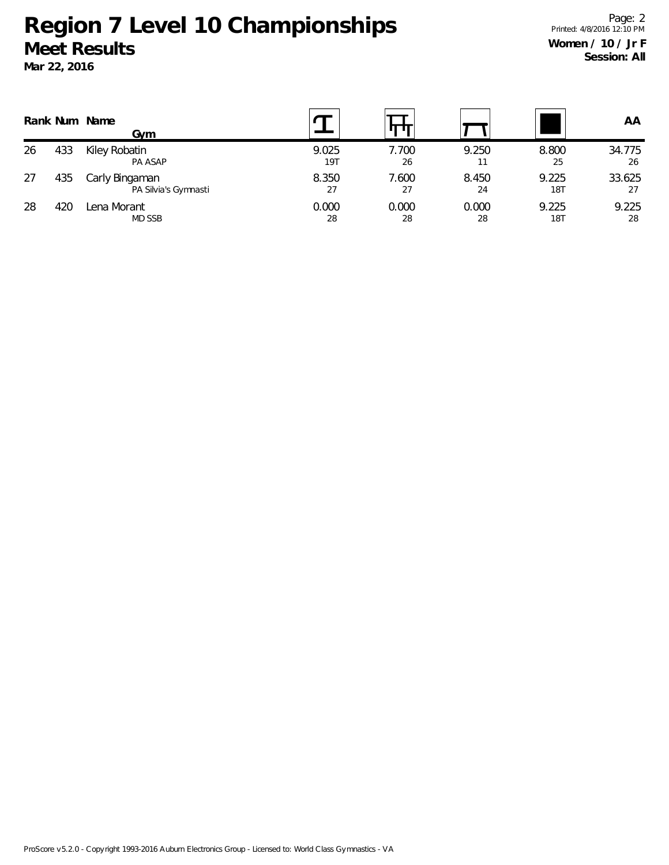|    |     | Rank Num Name<br>Gvm                   |              |             |             |                     | AA           |
|----|-----|----------------------------------------|--------------|-------------|-------------|---------------------|--------------|
| 26 | 433 | Kiley Robatin<br>PA ASAP               | 9.025<br>19T | 7.700<br>26 | 9.250       | 8.800<br>25         | 34.775<br>26 |
| 27 | 435 | Carly Bingaman<br>PA Silvia's Gymnasti | 8.350<br>27  | 7.600<br>27 | 8.450<br>24 | 9.225<br><b>18T</b> | 33.625<br>27 |
| 28 | 420 | Lena Morant<br>MD SSB                  | 0.000<br>28  | 0.000<br>28 | 0.000<br>28 | 9.225<br><b>18T</b> | 9.225<br>28  |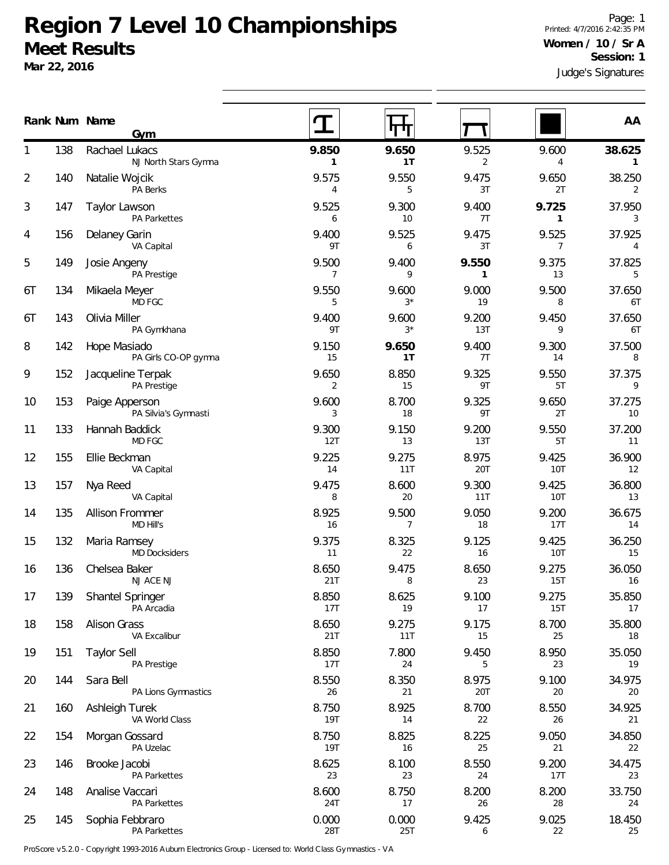Judge's Signatures Page: 1 Printed: 4/7/2016 2:42:35 PM **Women / 10 / Sr A Session: 1**

|    | Rank Num Name | Gym                                    |                     |                         |                       |                          | AA                       |
|----|---------------|----------------------------------------|---------------------|-------------------------|-----------------------|--------------------------|--------------------------|
|    | 138           | Rachael Lukacs<br>NJ North Stars Gymna | 9.850<br>1          | 9.650<br>1 <sub>T</sub> | 9.525<br>2            | 9.600<br>$\overline{4}$  | 38.625<br>$\mathbf{1}$   |
| 2  | 140           | Natalie Wojcik<br>PA Berks             | 9.575<br>4          | 9.550<br>5              | 9.475<br>3T           | 9.650<br>2T              | 38.250<br>2              |
| 3  | 147           | Taylor Lawson<br>PA Parkettes          | 9.525<br>6          | 9.300<br>10             | 9.400<br>7T           | 9.725<br>$\mathbf{1}$    | 37.950<br>3              |
| 4  | 156           | Delaney Garin<br>VA Capital            | 9.400<br>9T         | 9.525<br>6              | 9.475<br>3T           | 9.525<br>$7\overline{ }$ | 37.925<br>$\overline{4}$ |
| 5  | 149           | Josie Angeny<br>PA Prestige            | 9.500<br>7          | 9.400<br>9              | 9.550<br>$\mathbf{1}$ | 9.375<br>13              | 37.825<br>5              |
| 6T | 134           | Mikaela Meyer<br>MD FGC                | 9.550<br>5          | 9.600<br>$3*$           | 9.000<br>19           | 9.500<br>8               | 37.650<br>6T             |
| 6T | 143           | Olivia Miller<br>PA Gymkhana           | 9.400<br>9T         | 9.600<br>$3*$           | 9.200<br>13T          | 9.450<br>9               | 37.650<br>6T             |
| 8  | 142           | Hope Masiado<br>PA Girls CO-OP gymna   | 9.150<br>15         | 9.650<br>1T             | 9.400<br>7T           | 9.300<br>14              | 37.500<br>8              |
| 9  | 152           | Jacqueline Terpak<br>PA Prestige       | 9.650<br>2          | 8.850<br>15             | 9.325<br>9T           | 9.550<br>5T              | 37.375<br>9              |
| 10 | 153           | Paige Apperson<br>PA Silvia's Gymnasti | 9.600<br>3          | 8.700<br>18             | 9.325<br>9T           | 9.650<br>2T              | 37.275<br>10             |
| 11 | 133           | Hannah Baddick<br>MD FGC               | 9.300<br>12T        | 9.150<br>13             | 9.200<br>13T          | 9.550<br>5T              | 37.200<br>11             |
| 12 | 155           | Ellie Beckman<br>VA Capital            | 9.225<br>14         | 9.275<br>11T            | 8.975<br>20T          | 9.425<br>10T             | 36.900<br>12             |
| 13 | 157           | Nya Reed<br>VA Capital                 | 9.475<br>8          | 8.600<br>20             | 9.300<br>11T          | 9.425<br>10T             | 36.800<br>13             |
| 14 | 135           | <b>Allison Frommer</b><br>MD Hill's    | 8.925<br>16         | 9.500<br>$\overline{7}$ | 9.050<br>18           | 9.200<br>17T             | 36.675<br>14             |
| 15 | 132           | Maria Ramsey<br><b>MD Docksiders</b>   | 9.375<br>11         | 8.325<br>22             | 9.125<br>16           | 9.425<br>10T             | 36.250<br>15             |
| 16 | 136           | Chelsea Baker<br>NJ ACE NJ             | 8.650<br>21T        | 9.475<br>8              | 8.650<br>23           | 9.275<br>15T             | 36.050<br>16             |
| 17 | 139           | Shantel Springer<br>PA Arcadia         | 8.850<br>17T        | 8.625<br>19             | 9.100<br>17           | 9.275<br>15T             | 35.850<br>17             |
| 18 | 158           | <b>Alison Grass</b><br>VA Excalibur    | 8.650<br>21T        | 9.275<br>11T            | 9.175<br>15           | 8.700<br>25              | 35.800<br>18             |
| 19 | 151           | <b>Taylor Sell</b><br>PA Prestige      | 8.850<br>17T        | 7.800<br>24             | 9.450<br>5            | 8.950<br>23              | 35.050<br>19             |
| 20 | 144           | Sara Bell<br>PA Lions Gymnastics       | 8.550<br>26         | 8.350<br>21             | 8.975<br>20T          | 9.100<br>20              | 34.975<br>20             |
| 21 | 160           | Ashleigh Turek<br>VA World Class       | 8.750<br><b>19T</b> | 8.925<br>14             | 8.700<br>22           | 8.550<br>26              | 34.925<br>21             |
| 22 | 154           | Morgan Gossard<br>PA Uzelac            | 8.750<br><b>19T</b> | 8.825<br>16             | 8.225<br>25           | 9.050<br>21              | 34.850<br>22             |
| 23 | 146           | Brooke Jacobi<br>PA Parkettes          | 8.625<br>23         | 8.100<br>23             | 8.550<br>24           | 9.200<br>17T             | 34.475<br>23             |
| 24 | 148           | Analise Vaccari<br>PA Parkettes        | 8.600<br>24T        | 8.750<br>17             | 8.200<br>26           | 8.200<br>28              | 33.750<br>24             |
| 25 | 145           | Sophia Febbraro<br>PA Parkettes        | 0.000<br>28T        | 0.000<br>25T            | 9.425<br>6            | 9.025<br>22              | 18.450<br>25             |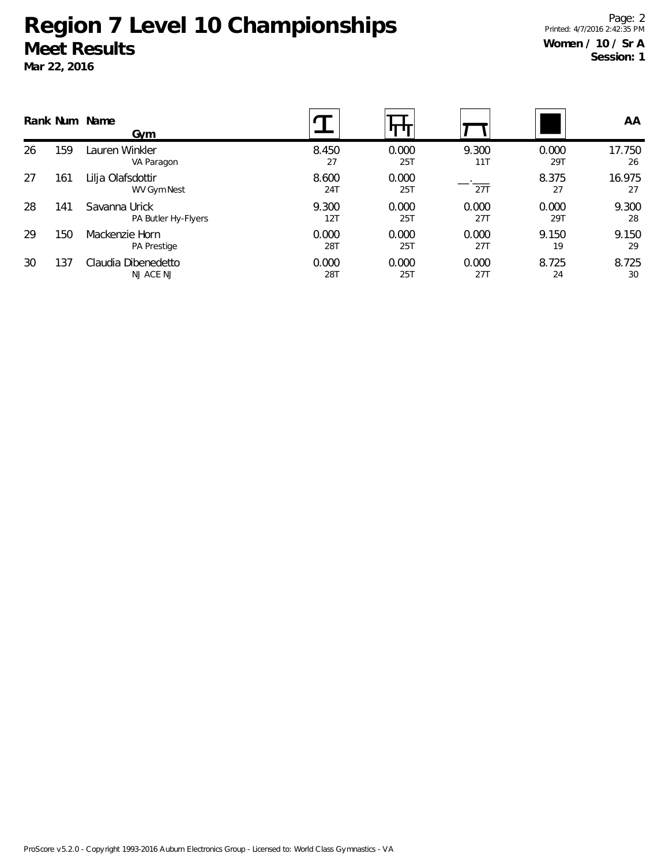**Num Name Rank AA Gym** 159 Lauren Winkler VA Paragon 8.450 0.000 9.300 0.000 17.750 27 25T 11T 29T 26 26 161 Lilja Olafsdottir WV Gym Nest 8.600 0.000 <u>...</u> 8.375 16.975 24T 25T 27T 27 27 27 27 141 Savanna Urick PA Butler Hy-Flyers 9.300 0.000 0.000 0.000 9.300 12T 25T 27T 29T 28 28 150 Mackenzie Horn PA Prestige 0.000 0.000 0.000 9.150 9.150 28T 25T 27T 19 29 29 137 Claudia Dibenedetto NJ ACE NJ 0.000 0.000 0.000 8.725 8.725 28T 25T 27T 24 30 30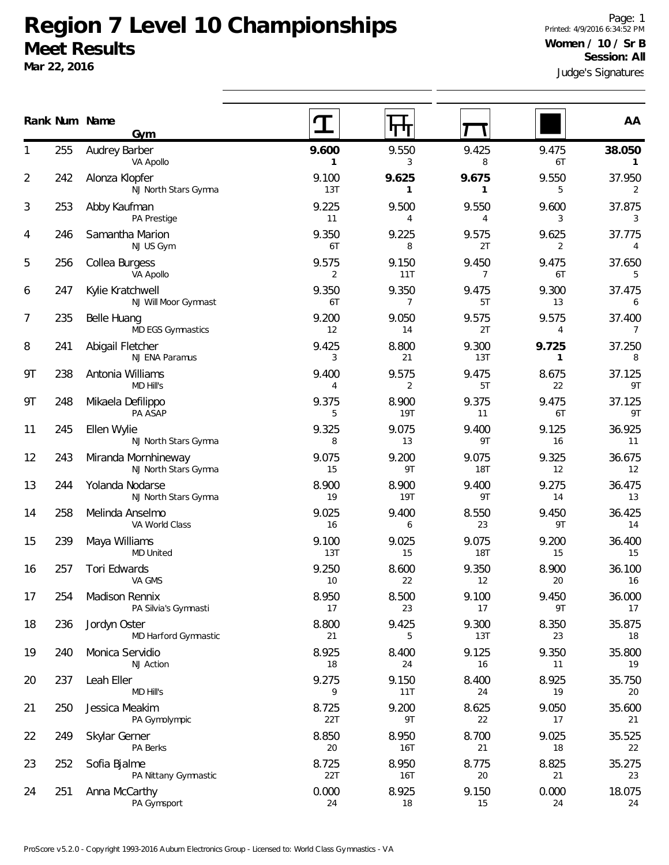**Mar 22, 2016**

Judge's Signatures Page: 1 Printed: 4/9/2016 6:34:52 PM **Women / 10 / Sr B Session: All**

|    |     | Rank Num Name<br>Gym                        |              |                         |                         |             | AA                       |
|----|-----|---------------------------------------------|--------------|-------------------------|-------------------------|-------------|--------------------------|
|    | 255 | Audrey Barber<br>VA Apollo                  | 9.600<br>1   | 9.550<br>3              | 9.425<br>8              | 9.475<br>6T | 38.050<br>1              |
| 2  | 242 | Alonza Klopfer<br>NJ North Stars Gymna      | 9.100<br>13T | 9.625<br>1              | 9.675<br>$\mathbf{1}$   | 9.550<br>5  | 37.950<br>2              |
| 3  | 253 | Abby Kaufman<br>PA Prestige                 | 9.225<br>11  | 9.500<br>4              | 9.550<br>4              | 9.600<br>3  | 37.875<br>3              |
| 4  | 246 | Samantha Marion<br>NJ US Gym                | 9.350<br>6T  | 9.225<br>8              | 9.575<br>2T             | 9.625<br>2  | 37.775<br>4              |
| 5  | 256 | Collea Burgess<br>VA Apollo                 | 9.575<br>2   | 9.150<br>11T            | 9.450<br>$\overline{7}$ | 9.475<br>6T | 37.650<br>5              |
| 6  | 247 | Kylie Kratchwell<br>NJ Will Moor Gymnast    | 9.350<br>6T  | 9.350<br>7              | 9.475<br>5T             | 9.300<br>13 | 37.475<br>6              |
| 7  | 235 | <b>Belle Huang</b><br>MD EGS Gymnastics     | 9.200<br>12  | 9.050<br>14             | 9.575<br>2T             | 9.575<br>4  | 37.400<br>$\overline{7}$ |
| 8  | 241 | Abigail Fletcher<br>NJ ENA Paramus          | 9.425<br>3   | 8.800<br>21             | 9.300<br>13T            | 9.725<br>1  | 37.250<br>8              |
| 9Τ | 238 | Antonia Williams<br><b>MD Hill's</b>        | 9.400<br>4   | 9.575<br>$\overline{2}$ | 9.475<br>5T             | 8.675<br>22 | 37.125<br>9T             |
| 9Τ | 248 | Mikaela Defilippo<br>PA ASAP                | 9.375<br>5   | 8.900<br><b>19T</b>     | 9.375<br>11             | 9.475<br>6T | 37.125<br>9T             |
| 11 | 245 | Ellen Wylie<br>NJ North Stars Gymna         | 9.325<br>8   | 9.075<br>13             | 9.400<br>9T             | 9.125<br>16 | 36.925<br>11             |
| 12 | 243 | Miranda Mornhineway<br>NJ North Stars Gymna | 9.075<br>15  | 9.200<br>9T             | 9.075<br><b>18T</b>     | 9.325<br>12 | 36.675<br>12             |
| 13 | 244 | Yolanda Nodarse<br>NJ North Stars Gymna     | 8.900<br>19  | 8.900<br><b>19T</b>     | 9.400<br>9T             | 9.275<br>14 | 36.475<br>13             |
| 14 | 258 | Melinda Anselmo<br>VA World Class           | 9.025<br>16  | 9.400<br>6              | 8.550<br>23             | 9.450<br>9T | 36.425<br>14             |
| 15 | 239 | Maya Williams<br><b>MD United</b>           | 9.100<br>13T | 9.025<br>15             | 9.075<br><b>18T</b>     | 9.200<br>15 | 36.400<br>15             |
| 16 | 257 | Tori Edwards<br>VA GMS                      | 9.250<br>10  | 8.600<br>22             | 9.350<br>12             | 8.900<br>20 | 36.100<br>16             |
| 17 | 254 | Madison Rennix<br>PA Silvia's Gymnasti      | 8.950<br>17  | 8.500<br>23             | 9.100<br>17             | 9.450<br>9T | 36.000<br>17             |
| 18 | 236 | Jordyn Oster<br>MD Harford Gymnastic        | 8.800<br>21  | 9.425<br>5              | 9.300<br>13T            | 8.350<br>23 | 35.875<br>18             |
| 19 | 240 | Monica Servidio<br>NJ Action                | 8.925<br>18  | 8.400<br>24             | 9.125<br>16             | 9.350<br>11 | 35.800<br>19             |
| 20 | 237 | Leah Eller<br>MD Hill's                     | 9.275<br>9   | 9.150<br>11T            | 8.400<br>24             | 8.925<br>19 | 35.750<br>20             |
| 21 | 250 | Jessica Meakim<br>PA Gymolympic             | 8.725<br>22T | 9.200<br>9T             | 8.625<br>22             | 9.050<br>17 | 35.600<br>21             |
| 22 | 249 | Skylar Gerner<br>PA Berks                   | 8.850<br>20  | 8.950<br><b>16T</b>     | 8.700<br>21             | 9.025<br>18 | 35.525<br>22             |
| 23 | 252 | Sofia Bjalme<br>PA Nittany Gymnastic        | 8.725<br>22T | 8.950<br><b>16T</b>     | 8.775<br>20             | 8.825<br>21 | 35.275<br>23             |
| 24 | 251 | Anna McCarthy<br>PA Gymsport                | 0.000<br>24  | 8.925<br>18             | 9.150<br>15             | 0.000<br>24 | 18.075<br>24             |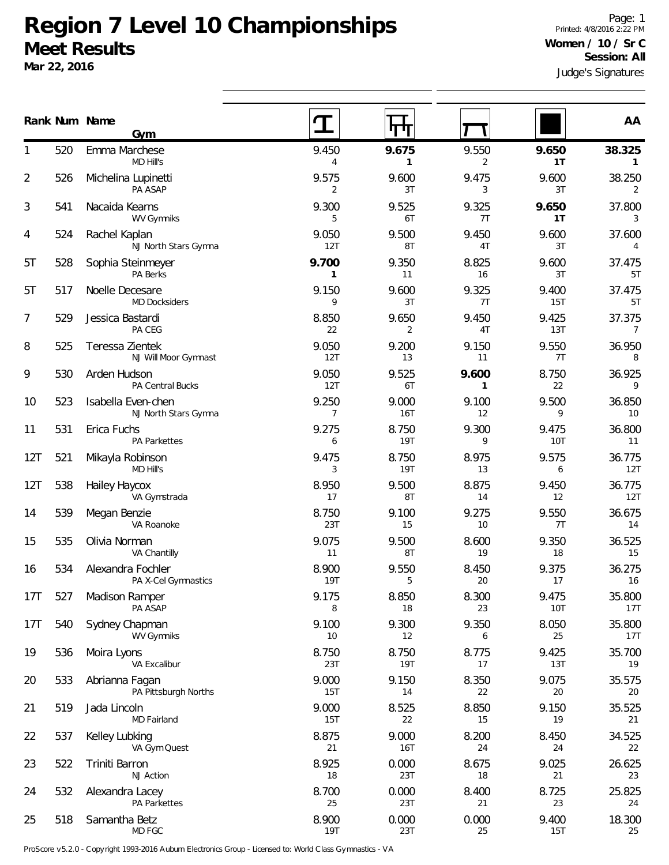**Mar 22, 2016**

|     |     | Rank Num Name<br>Gym                       |                       |                         |                       |              | AA                       |
|-----|-----|--------------------------------------------|-----------------------|-------------------------|-----------------------|--------------|--------------------------|
|     | 520 | Emma Marchese<br>MD Hill's                 | 9.450<br>4            | 9.675<br>$\mathbf{1}$   | 9.550<br>2            | 9.650<br>1T  | 38.325<br>$\mathbf{1}$   |
| 2   | 526 | Michelina Lupinetti<br>PA ASAP             | 9.575<br>2            | 9.600<br>3T             | 9.475<br>3            | 9.600<br>3T  | 38.250<br>2              |
| 3   | 541 | Nacaida Kearns<br><b>WV Gymniks</b>        | 9.300<br>5            | 9.525<br>6T             | 9.325<br>7T           | 9.650<br>1T  | 37.800<br>3              |
| 4   | 524 | Rachel Kaplan<br>NJ North Stars Gymna      | 9.050<br>12T          | 9.500<br>8T             | 9.450<br>4T           | 9.600<br>3T  | 37.600<br>4              |
| 5T  | 528 | Sophia Steinmeyer<br>PA Berks              | 9.700<br>$\mathbf{1}$ | 9.350<br>11             | 8.825<br>16           | 9.600<br>3T  | 37.475<br>5T             |
| 5T  | 517 | Noelle Decesare<br><b>MD Docksiders</b>    | 9.150<br>9            | 9.600<br>3T             | 9.325<br>7T           | 9.400<br>15T | 37.475<br>5T             |
| 7   | 529 | Jessica Bastardi<br>PA CEG                 | 8.850<br>22           | 9.650<br>$\overline{2}$ | 9.450<br>4T           | 9.425<br>13T | 37.375<br>$\overline{7}$ |
| 8   | 525 | Teressa Zientek<br>NJ Will Moor Gymnast    | 9.050<br>12T          | 9.200<br>13             | 9.150<br>11           | 9.550<br>7T  | 36.950<br>8              |
| 9   | 530 | Arden Hudson<br>PA Central Bucks           | 9.050<br>12T          | 9.525<br>6T             | 9.600<br>$\mathbf{1}$ | 8.750<br>22  | 36.925<br>9              |
| 10  | 523 | Isabella Even-chen<br>NJ North Stars Gymna | 9.250<br>7            | 9.000<br><b>16T</b>     | 9.100<br>12           | 9.500<br>9   | 36.850<br>10             |
| 11  | 531 | Erica Fuchs<br><b>PA Parkettes</b>         | 9.275<br>6            | 8.750<br><b>19T</b>     | 9.300<br>9            | 9.475<br>10T | 36.800<br>11             |
| 12T | 521 | Mikayla Robinson<br>MD Hill's              | 9.475<br>3            | 8.750<br><b>19T</b>     | 8.975<br>13           | 9.575<br>6   | 36.775<br>12T            |
| 12T | 538 | Hailey Haycox<br>VA Gymstrada              | 8.950<br>17           | 9.500<br>8T             | 8.875<br>14           | 9.450<br>12  | 36.775<br>12T            |
| 14  | 539 | Megan Benzie<br>VA Roanoke                 | 8.750<br>23T          | 9.100<br>15             | 9.275<br>10           | 9.550<br>7T  | 36.675<br>14             |
| 15  | 535 | Olivia Norman<br>VA Chantilly              | 9.075<br>11           | 9.500<br>8T             | 8.600<br>19           | 9.350<br>18  | 36.525<br>15             |
| 16  | 534 | Alexandra Fochler<br>PA X-Cel Gymnastics   | 8.900<br><b>19T</b>   | 9.550<br>5              | 8.450<br>20           | 9.375<br>17  | 36.275<br>16             |
| 17T | 527 | <b>Madison Ramper</b><br>PA ASAP           | 9.175<br>8            | 8.850<br>18             | 8.300<br>23           | 9.475<br>10T | 35.800<br>17T            |
| 17T | 540 | Sydney Chapman<br><b>WV Gymniks</b>        | 9.100<br>10           | 9.300<br>12             | 9.350<br>6            | 8.050<br>25  | 35.800<br>17T            |
| 19  | 536 | Moira Lyons<br>VA Excalibur                | 8.750<br>23T          | 8.750<br><b>19T</b>     | 8.775<br>17           | 9.425<br>13T | 35.700<br>19             |
| 20  | 533 | Abrianna Fagan<br>PA Pittsburgh Norths     | 9.000<br>15T          | 9.150<br>14             | 8.350<br>22           | 9.075<br>20  | 35.575<br>20             |
| 21  | 519 | Jada Lincoln<br>MD Fairland                | 9.000<br>15T          | 8.525<br>22             | 8.850<br>15           | 9.150<br>19  | 35.525<br>21             |
| 22  | 537 | Kelley Lubking<br>VA Gym Quest             | 8.875<br>21           | 9.000<br><b>16T</b>     | 8.200<br>24           | 8.450<br>24  | 34.525<br>22             |
| 23  | 522 | Triniti Barron<br>NJ Action                | 8.925<br>18           | 0.000<br>23T            | 8.675<br>18           | 9.025<br>21  | 26.625<br>23             |
| 24  | 532 | Alexandra Lacey<br><b>PA Parkettes</b>     | 8.700<br>25           | 0.000<br>23T            | 8.400<br>21           | 8.725<br>23  | 25.825<br>24             |
| 25  | 518 | Samantha Betz<br>MD FGC                    | 8.900<br>19T          | 0.000<br>23T            | 0.000<br>25           | 9.400<br>15T | 18.300<br>25             |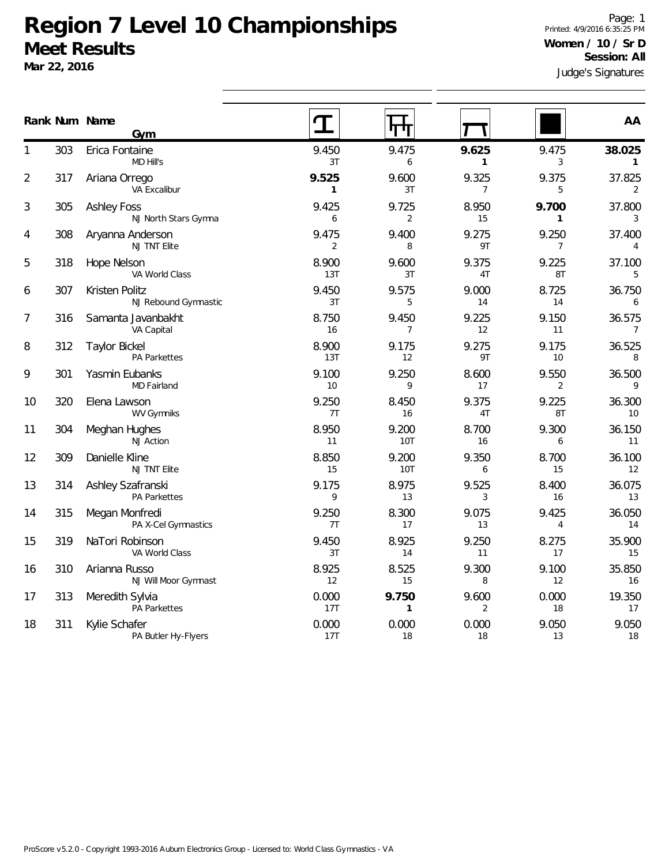**Mar 22, 2016**

Judge's Signatures Page: 1 Printed: 4/9/2016 6:35:25 PM **Women / 10 / Sr D Session: All**

|                |     | Rank Num Name<br>Gym                        |                         | П<br>Л                  |                         |                         | AA                       |
|----------------|-----|---------------------------------------------|-------------------------|-------------------------|-------------------------|-------------------------|--------------------------|
| 1              | 303 | Erica Fontaine<br>MD Hill's                 | 9.450<br>3T             | 9.475<br>6              | 9.625<br>$\mathbf{1}$   | 9.475<br>3              | 38.025<br>$\mathbf{1}$   |
| $\overline{2}$ | 317 | Ariana Orrego<br>VA Excalibur               | 9.525<br>$\mathbf{1}$   | 9.600<br>3T             | 9.325<br>$\overline{7}$ | 9.375<br>5              | 37.825<br>2              |
| 3              | 305 | <b>Ashley Foss</b><br>NJ North Stars Gymna  | 9.425<br>6              | 9.725<br>2              | 8.950<br>15             | 9.700<br>$\mathbf{1}$   | 37.800<br>3              |
| 4              | 308 | Aryanna Anderson<br>NJ TNT Elite            | 9.475<br>$\overline{2}$ | 9.400<br>8              | 9.275<br>9T             | 9.250<br>$\overline{7}$ | 37.400<br>4              |
| 5              | 318 | Hope Nelson<br>VA World Class               | 8.900<br>13T            | 9.600<br>3T             | 9.375<br>4T             | 9.225<br>8T             | 37.100<br>5              |
| 6              | 307 | Kristen Politz<br>NJ Rebound Gymnastic      | 9.450<br>3T             | 9.575<br>5              | 9.000<br>14             | 8.725<br>14             | 36.750<br>6              |
| 7              | 316 | Samanta Javanbakht<br>VA Capital            | 8.750<br>16             | 9.450<br>$\overline{7}$ | 9.225<br>12             | 9.150<br>11             | 36.575<br>$\overline{7}$ |
| 8              | 312 | <b>Taylor Bickel</b><br><b>PA Parkettes</b> | 8.900<br>13T            | 9.175<br>12             | 9.275<br>9T             | 9.175<br>10             | 36.525<br>8              |
| 9              | 301 | Yasmin Eubanks<br>MD Fairland               | 9.100<br>10             | 9.250<br>9              | 8.600<br>17             | 9.550<br>$\overline{2}$ | 36.500<br>9              |
| 10             | 320 | Elena Lawson<br><b>WV Gymniks</b>           | 9.250<br>7T             | 8.450<br>16             | 9.375<br>4T             | 9.225<br>8T             | 36.300<br>10             |
| 11             | 304 | Meghan Hughes<br><b>NJ Action</b>           | 8.950<br>11             | 9.200<br>10T            | 8.700<br>16             | 9.300<br>6              | 36.150<br>11             |
| 12             | 309 | Danielle Kline<br>NJ TNT Elite              | 8.850<br>15             | 9.200<br>10T            | 9.350<br>6              | 8.700<br>15             | 36.100<br>12             |
| 13             | 314 | Ashley Szafranski<br><b>PA Parkettes</b>    | 9.175<br>9              | 8.975<br>13             | 9.525<br>3              | 8.400<br>16             | 36.075<br>13             |
| 14             | 315 | Megan Monfredi<br>PA X-Cel Gymnastics       | 9.250<br>7T             | 8.300<br>17             | 9.075<br>13             | 9.425<br>$\overline{4}$ | 36.050<br>14             |
| 15             | 319 | NaTori Robinson<br>VA World Class           | 9.450<br>3T             | 8.925<br>14             | 9.250<br>11             | 8.275<br>17             | 35.900<br>15             |
| 16             | 310 | Arianna Russo<br>NJ Will Moor Gymnast       | 8.925<br>12             | 8.525<br>15             | 9.300<br>8              | 9.100<br>12             | 35.850<br>16             |
| 17             | 313 | Meredith Sylvia<br><b>PA Parkettes</b>      | 0.000<br>17T            | 9.750<br>$\mathbf{1}$   | 9.600<br>$\overline{2}$ | 0.000<br>18             | 19.350<br>17             |
| 18             | 311 | Kylie Schafer<br>PA Butler Hy-Flyers        | 0.000<br>17T            | 0.000<br>18             | 0.000<br>18             | 9.050<br>13             | 9.050<br>18              |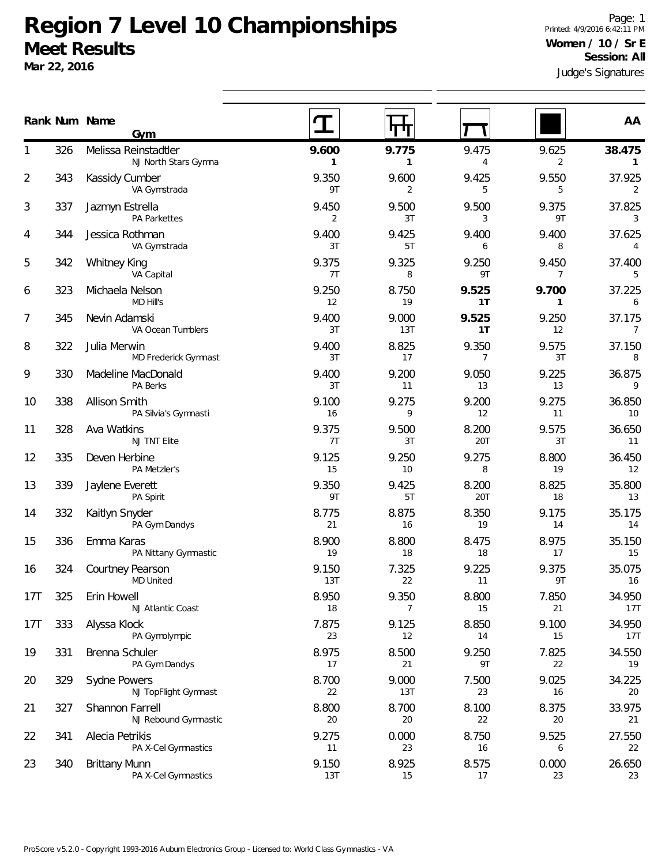**Mar 22, 2016**

Judge's Signatures Page: 1 Printed: 4/9/2016 6:42:11 PM **Women / 10 / Sr E Session: All**

|                 |     | Rank Num Name<br>Gym                         |              |                         |                         |                         | AA                        |
|-----------------|-----|----------------------------------------------|--------------|-------------------------|-------------------------|-------------------------|---------------------------|
|                 | 326 | Melissa Reinstadtler<br>NJ North Stars Gymna | 9.600<br>1   | 9.775<br>$\mathbf{1}$   | 9.475<br>4              | 9.625<br>2              | 38.475<br>$\mathbf{1}$    |
| $\overline{2}$  | 343 | Kassidy Cumber<br>VA Gymstrada               | 9.350<br>9T  | 9.600<br>2              | 9.425<br>5              | 9.550<br>5              | 37.925<br>2               |
| 3               | 337 | Jazmyn Estrella<br><b>PA Parkettes</b>       | 9.450<br>2   | 9.500<br>3T             | 9.500<br>3              | 9.375<br>9T             | 37.825<br>3               |
| 4               | 344 | Jessica Rothman<br>VA Gymstrada              | 9.400<br>3T  | 9.425<br>5T             | 9.400<br>6              | 9.400<br>8              | 37.625<br>$\overline{4}$  |
| 5               | 342 | <b>Whitney King</b><br>VA Capital            | 9.375<br>7T  | 9.325<br>8              | 9.250<br>9T             | 9.450<br>$\overline{7}$ | 37.400<br>5               |
| 6               | 323 | Michaela Nelson<br>MD Hill's                 | 9.250<br>12  | 8.750<br>19             | 9.525<br>1T             | 9.700<br>$\mathbf{1}$   | 37.225<br>6               |
| 7               | 345 | Nevin Adamski<br>VA Ocean Tumblers           | 9.400<br>3T  | 9.000<br>13T            | 9.525<br>1T             | 9.250<br>12             | 37.175<br>$7\overline{ }$ |
| 8               | 322 | Julia Merwin<br>MD Frederick Gymnast         | 9.400<br>3T  | 8.825<br>17             | 9.350<br>$\overline{7}$ | 9.575<br>3T             | 37.150<br>8               |
| 9               | 330 | Madeline MacDonald<br>PA Berks               | 9.400<br>3T  | 9.200<br>11             | 9.050<br>13             | 9.225<br>13             | 36.875<br>9               |
| 10              | 338 | <b>Allison Smith</b><br>PA Silvia's Gymnasti | 9.100<br>16  | 9.275<br>9              | 9.200<br>12             | 9.275<br>11             | 36.850<br>10              |
| 11              | 328 | Ava Watkins<br>NJ TNT Elite                  | 9.375<br>7T  | 9.500<br>3T             | 8.200<br>20T            | 9.575<br>3T             | 36.650<br>11              |
| 12              | 335 | Deven Herbine<br>PA Metzler's                | 9.125<br>15  | 9.250<br>10             | 9.275<br>8              | 8.800<br>19             | 36.450<br>12              |
| 13              | 339 | Jaylene Everett<br>PA Spirit                 | 9.350<br>9T  | 9.425<br>5T             | 8.200<br>20T            | 8.825<br>18             | 35.800<br>13              |
| 14              | 332 | Kaitlyn Snyder<br>PA Gym Dandys              | 8.775<br>21  | 8.875<br>16             | 8.350<br>19             | 9.175<br>14             | 35.175<br>14              |
| 15              | 336 | Emma Karas<br>PA Nittany Gymnastic           | 8.900<br>19  | 8.800<br>18             | 8.475<br>18             | 8.975<br>17             | 35.150<br>15              |
| 16              | 324 | Courtney Pearson<br><b>MD United</b>         | 9.150<br>13T | 7.325<br>22             | 9.225<br>11             | 9.375<br>9T             | 35.075<br>16              |
| 17T             | 325 | Erin Howell<br>NJ Atlantic Coast             | 8.950<br>18  | 9.350<br>$\overline{7}$ | 8.800<br>15             | 7.850<br>21             | 34.950<br>17T             |
| 17 <sub>T</sub> | 333 | Alyssa Klock<br>PA Gymolympic                | 7.875<br>23  | 9.125<br>12             | 8.850<br>14             | 9.100<br>15             | 34.950<br>17T             |
| 19              | 331 | Brenna Schuler<br>PA Gym Dandys              | 8.975<br>17  | 8.500<br>21             | 9.250<br>9T             | 7.825<br>22             | 34.550<br>19              |
| 20              | 329 | Sydne Powers<br>NJ TopFlight Gymnast         | 8.700<br>22  | 9.000<br>13T            | 7.500<br>23             | 9.025<br>16             | 34.225<br>20              |
| 21              | 327 | Shannon Farrell<br>NJ Rebound Gymnastic      | 8.800<br>20  | 8.700<br>20             | 8.100<br>22             | 8.375<br>20             | 33.975<br>21              |
| 22              | 341 | Alecia Petrikis<br>PA X-Cel Gymnastics       | 9.275<br>11  | 0.000<br>23             | 8.750<br>16             | 9.525<br>6              | 27.550<br>22              |
| 23              | 340 | <b>Brittany Munn</b><br>PA X-Cel Gymnastics  | 9.150<br>13T | 8.925<br>15             | 8.575<br>17             | 0.000<br>23             | 26.650<br>23              |